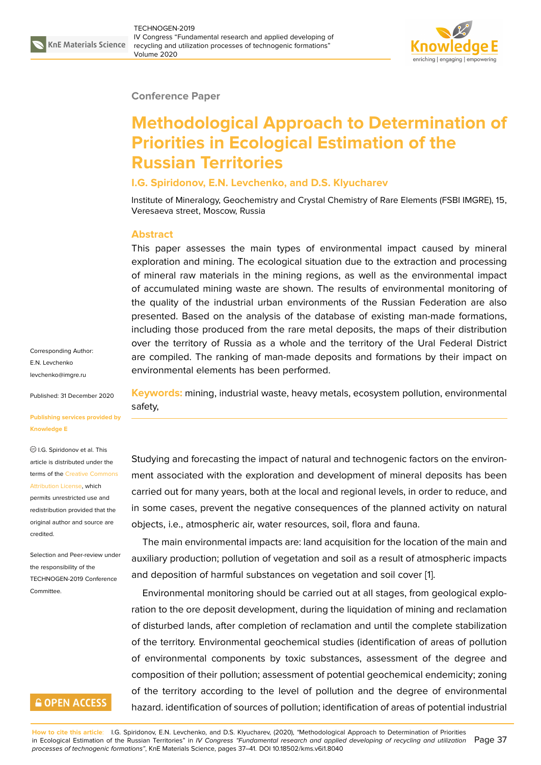

#### **Conference Paper**

# **Methodological Approach to Determination of Priorities in Ecological Estimation of the Russian Territories**

#### **I.G. Spiridonov, E.N. Levchenko, and D.S. Klyucharev**

Institute of Mineralogy, Geochemistry and Crystal Chemistry of Rare Elements (FSBI IMGRE), 15, Veresaeva street, Moscow, Russia

#### **Abstract**

This paper assesses the main types of environmental impact caused by mineral exploration and mining. The ecological situation due to the extraction and processing of mineral raw materials in the mining regions, as well as the environmental impact of accumulated mining waste are shown. The results of environmental monitoring of the quality of the industrial urban environments of the Russian Federation are also presented. Based on the analysis of the database of existing man-made formations, including those produced from the rare metal deposits, the maps of their distribution over the territory of Russia as a whole and the territory of the Ural Federal District are compiled. The ranking of man-made deposits and formations by their impact on environmental elements has been performed.

Corresponding Author: E.N. Levchenko levchenko@imgre.ru

Published: 31 December 2020

#### **[Publishing services](mailto:levchenko@imgre.ru) provided by Knowledge E**

I.G. Spiridonov et al. This article is distributed under the terms of the Creative Commons Attribution License, which

permits unrestricted use and redistribution provided that the original auth[or and source are](https://creativecommons.org/licenses/by/4.0/) [credited.](https://creativecommons.org/licenses/by/4.0/)

Selection and Peer-review under the responsibility of the TECHNOGEN-2019 Conference **Committee** 

### **GOPEN ACCESS**

**Keywords:** mining, industrial waste, heavy metals, ecosystem pollution, environmental safety,

Studying and forecasting the impact of natural and technogenic factors on the environment associated with the exploration and development of mineral deposits has been carried out for many years, both at the local and regional levels, in order to reduce, and in some cases, prevent the negative consequences of the planned activity on natural objects, i.e., atmospheric air, water resources, soil, flora and fauna.

The main environmental impacts are: land acquisition for the location of the main and auxiliary production; pollution of vegetation and soil as a result of atmospheric impacts and deposition of harmful substances on vegetation and soil cover [1].

Environmental monitoring should be carried out at all stages, from geological exploration to the ore deposit development, during the liquidation of mining and reclamation of disturbed lands, after completion of reclamation and until the co[m](#page-4-0)plete stabilization of the territory. Environmental geochemical studies (identification of areas of pollution of environmental components by toxic substances, assessment of the degree and composition of their pollution; assessment of potential geochemical endemicity; zoning of the territory according to the level of pollution and the degree of environmental hazard. identification of sources of pollution; identification of areas of potential industrial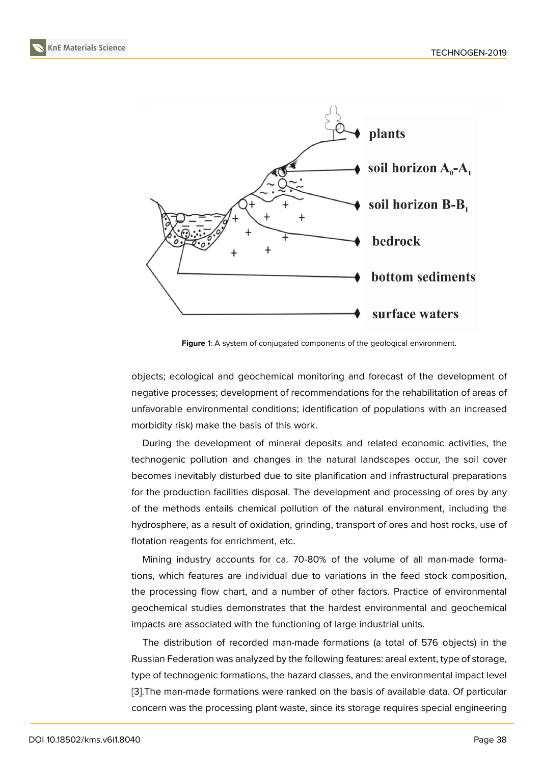

**Figure** 1: A system of conjugated components of the geological environment.

objects; ecological and geochemical monitoring and forecast of the development of negative processes; development of recommendations for the rehabilitation of areas of unfavorable environmental conditions; identification of populations with an increased morbidity risk) make the basis of this work.

During the development of mineral deposits and related economic activities, the technogenic pollution and changes in the natural landscapes occur, the soil cover becomes inevitably disturbed due to site planification and infrastructural preparations for the production facilities disposal. The development and processing of ores by any of the methods entails chemical pollution of the natural environment, including the hydrosphere, as a result of oxidation, grinding, transport of ores and host rocks, use of flotation reagents for enrichment, etc.

Mining industry accounts for ca. 70-80% of the volume of all man-made formations, which features are individual due to variations in the feed stock composition, the processing flow chart, and a number of other factors. Practice of environmental geochemical studies demonstrates that the hardest environmental and geochemical impacts are associated with the functioning of large industrial units.

The distribution of recorded man-made formations (a total of 576 objects) in the Russian Federation was analyzed by the following features: areal extent, type of storage, type of technogenic formations, the hazard classes, and the environmental impact level [3].The man-made formations were ranked on the basis of available data. Of particular concern was the processing plant waste, since its storage requires special engineering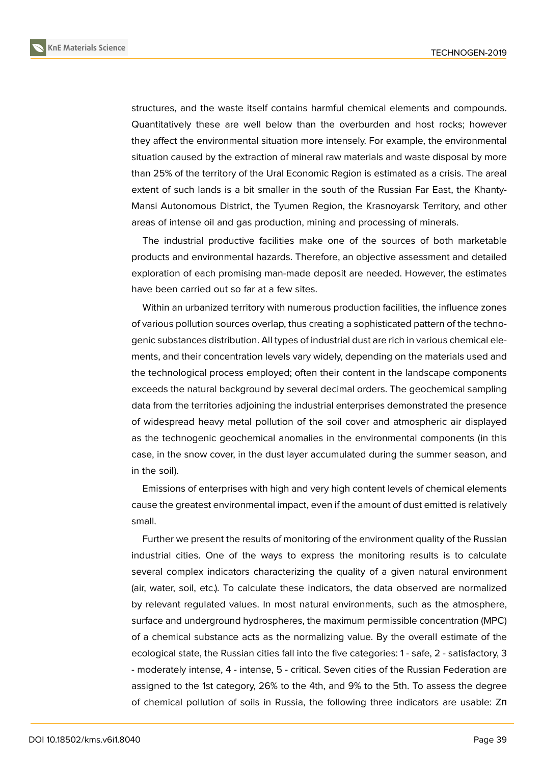

structures, and the waste itself contains harmful chemical elements and compounds. Quantitatively these are well below than the overburden and host rocks; however they affect the environmental situation more intensely. For example, the environmental situation caused by the extraction of mineral raw materials and waste disposal by more than 25% of the territory of the Ural Economic Region is estimated as a crisis. The areal extent of such lands is a bit smaller in the south of the Russian Far East, the Khanty-Mansi Autonomous District, the Tyumen Region, the Krasnoyarsk Territory, and other areas of intense oil and gas production, mining and processing of minerals.

The industrial productive facilities make one of the sources of both marketable products and environmental hazards. Therefore, an objective assessment and detailed exploration of each promising man-made deposit are needed. However, the estimates have been carried out so far at a few sites.

Within an urbanized territory with numerous production facilities, the influence zones of various pollution sources overlap, thus creating a sophisticated pattern of the technogenic substances distribution. All types of industrial dust are rich in various chemical elements, and their concentration levels vary widely, depending on the materials used and the technological process employed; often their content in the landscape components exceeds the natural background by several decimal orders. The geochemical sampling data from the territories adjoining the industrial enterprises demonstrated the presence of widespread heavy metal pollution of the soil cover and atmospheric air displayed as the technogenic geochemical anomalies in the environmental components (in this case, in the snow cover, in the dust layer accumulated during the summer season, and in the soil).

Emissions of enterprises with high and very high content levels of chemical elements cause the greatest environmental impact, even if the amount of dust emitted is relatively small.

Further we present the results of monitoring of the environment quality of the Russian industrial cities. One of the ways to express the monitoring results is to calculate several complex indicators characterizing the quality of a given natural environment (air, water, soil, etc.). To calculate these indicators, the data observed are normalized by relevant regulated values. In most natural environments, such as the atmosphere, surface and underground hydrospheres, the maximum permissible concentration (MPC) of a chemical substance acts as the normalizing value. By the overall estimate of the ecological state, the Russian cities fall into the five categories: 1 - safe, 2 - satisfactory, 3 - moderately intense, 4 - intense, 5 - critical. Seven cities of the Russian Federation are assigned to the 1st category, 26% to the 4th, and 9% to the 5th. To assess the degree of chemical pollution of soils in Russia, the following three indicators are usable: Zп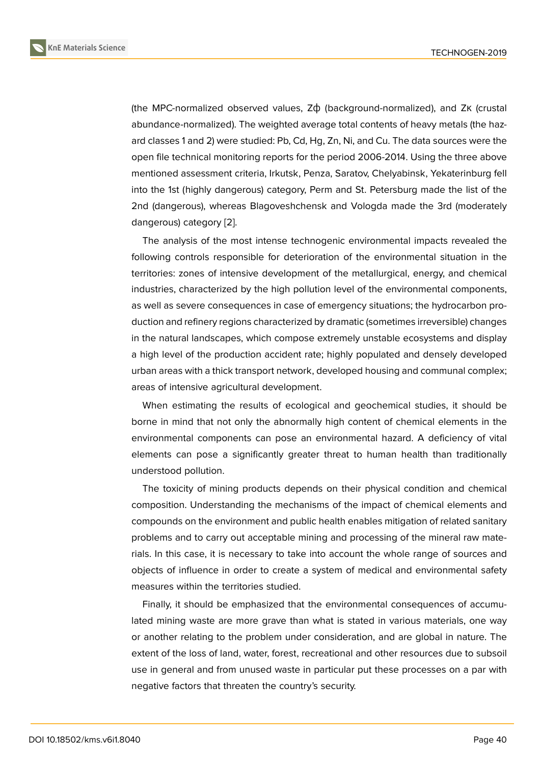(the MPC-normalized observed values, Zф (background-normalized), and Zк (crustal abundance-normalized). The weighted average total contents of heavy metals (the hazard classes 1 and 2) were studied: Pb, Cd, Hg, Zn, Ni, and Cu. The data sources were the open file technical monitoring reports for the period 2006-2014. Using the three above mentioned assessment criteria, Irkutsk, Penza, Saratov, Chelyabinsk, Yekaterinburg fell into the 1st (highly dangerous) category, Perm and St. Petersburg made the list of the 2nd (dangerous), whereas Blagoveshchensk and Vologda made the 3rd (moderately dangerous) category [2].

The analysis of the most intense technogenic environmental impacts revealed the following controls responsible for deterioration of the environmental situation in the territories: zones of i[nte](#page-4-2)nsive development of the metallurgical, energy, and chemical industries, characterized by the high pollution level of the environmental components, as well as severe consequences in case of emergency situations; the hydrocarbon production and refinery regions characterized by dramatic (sometimes irreversible) changes in the natural landscapes, which compose extremely unstable ecosystems and display a high level of the production accident rate; highly populated and densely developed urban areas with a thick transport network, developed housing and communal complex; areas of intensive agricultural development.

When estimating the results of ecological and geochemical studies, it should be borne in mind that not only the abnormally high content of chemical elements in the environmental components can pose an environmental hazard. A deficiency of vital elements can pose a significantly greater threat to human health than traditionally understood pollution.

The toxicity of mining products depends on their physical condition and chemical composition. Understanding the mechanisms of the impact of chemical elements and compounds on the environment and public health enables mitigation of related sanitary problems and to carry out acceptable mining and processing of the mineral raw materials. In this case, it is necessary to take into account the whole range of sources and objects of influence in order to create a system of medical and environmental safety measures within the territories studied.

Finally, it should be emphasized that the environmental consequences of accumulated mining waste are more grave than what is stated in various materials, one way or another relating to the problem under consideration, and are global in nature. The extent of the loss of land, water, forest, recreational and other resources due to subsoil use in general and from unused waste in particular put these processes on a par with negative factors that threaten the country's security.